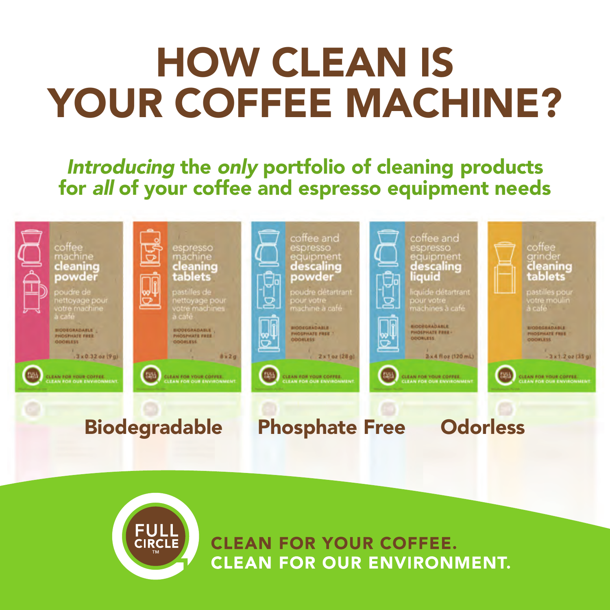# HOW CLEAN IS YOUR COFFEE MACHINE?

Introducing the only portfolio of cleaning products for all of your coffee and espresso equipment needs





**CLEAN FOR YOUR COFFEE. CLEAN FOR OUR ENVIRONMENT.**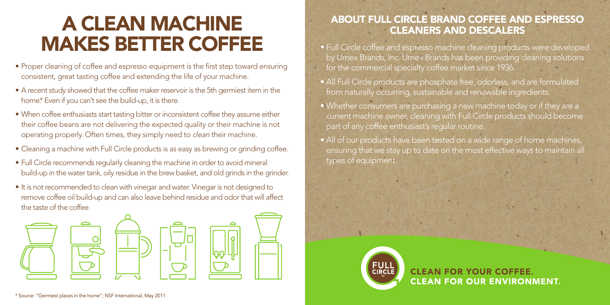## A CLEAN MACHINE MAKES BETTER COFFEE

- Proper cleaning of coffee and espresso equipment is the first step toward ensuring consistent, great tasting coffee and extending the life of your machine.
- A recent study showed that the coffee maker reservoir is the 5th germiest item in the home.\* Even if you can't see the build-up, it is there.
- When coffee enthusiasts start tasting bitter or inconsistent coffee they assume either their coffee beans are not delivering the expected quality or their machine is not operating properly. Often times, they simply need to clean their machine.
- Cleaning a machine with Full Circle products is as easy as brewing or grinding coffee.
- Full Circle recommends regularly cleaning the machine in order to avoid mineral build-up in the water tank, oily residue in the brew basket, and old grinds in the grinder.
- It is not recommended to clean with vinegar and water. Vinegar is not designed to remove coffee oil build-up and can also leave behind residue and odor that will affect the taste of the coffee.



### ABOUT FULL CIRCLE BRAND COFFEE AND ESPRESSO CLEANERS AND DESCALERS

- Full Circle coffee and espresso machine cleaning products were developed by Urnex Brands, Inc. Urnex Brands has been providing cleaning solutions for the commercial specialty coffee market since 1936.
- All Full Circle products are phosphate free, odorless, and are formulated from naturally occurring, sustainable and renewable ingredients.
- Whether consumers are purchasing a new machine today or if they are a current machine owner, cleaning with Full Circle products should become part of any coffee enthusiast's regular routine.
- All of our products have been tested on a wide range of home machines, ensuring that we stay up to date on the most effective ways to maintain all types of equipment.



**CLEAN FOR YOUR COFFEE. CLEAN FOR OUR ENVIRONMENT.**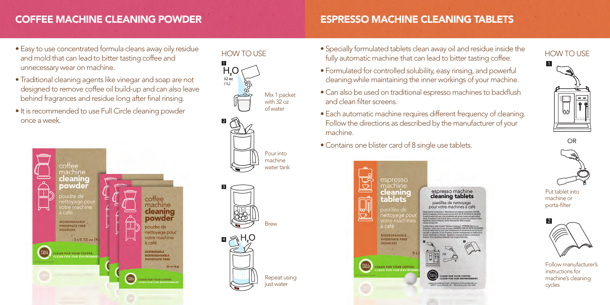## COFFEE MACHINE CLEANING POWDER

### ESPRESSO MACHINE CLEANING TABLETS

- Easy to use concentrated formula cleans away oily residue and mold that can lead to bitter tasting coffee and unnecessary wear on machine.
- Traditional cleaning agents like vinegar and soap are not designed to remove coffee oil build-up and can also leave behind fragrances and residue long after final rinsing.
- It is recommended to use Full Circle cleaning powder once a week.







- Specially formulated tablets clean away oil and residue inside the HOW TO USE For the substitute of the contraversion of the mathematic machine that can lead to bitter tasting coffee.
	- Formulated for controlled solubility, easy rinsing, and powerful cleaning while maintaining the inner workings of your machine.
	- Can also be used on traditional espresso machines to backflush and clean filter screens.
	- Each automatic machine requires different frequency of cleaning. Follow the directions as described by the manufacturer of your machine.
	- Contains one blister card of 8 single use tablets.





OR



Put tablet into machine or porta-filter



Follow manufacturer's instructions for machine's cleaning cycles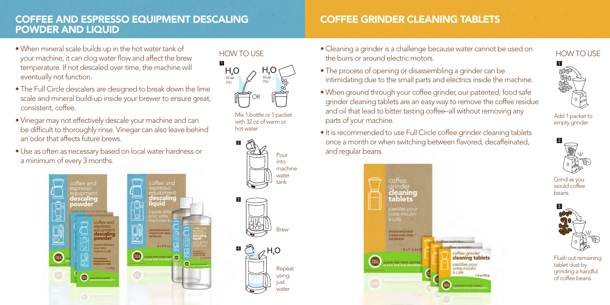### COFFEE AND ESPRESSO EQUIPMENT DESCALING POWDER AND LIQUID

### COFFEE GRINDER CLEANING TABLETS

- When mineral scale builds up in the hot water tank of your machine, it can clog water flow and affect the brew temperature. If not descaled over time, the machine will eventually not function.
- The Full Circle descalers are designed to break down the lime scale and mineral build-up inside your brewer to ensure great, consistent, coffee.
- Vinegar may not effectively descale your machine and can be difficult to thoroughly rinse. Vinegar can also leave behind an odor that affects future brews.
- Use as often as necessary based on local water hardness or a minimum of every 3 months.



2k4 flox

1



Mix 1 bottle or 1 packet with 32 oz of warm or hot water



• Cleaning a grinder is a challenge because water cannot be used on how TO USE to the stress water cannot be used on the burrs or around electric motors.



### • When ground through your coffee grinder, our patented, food safe grinder cleaning tablets are an easy way to remove the coffee residue and oil that lead to bitter tasting coffee–all without removing any parts of your machine.



1

Add 1 packet to empty grinder



Grind as you would coffee beans



Flush out remaining tablet dust by grinding a handful of coffee beans